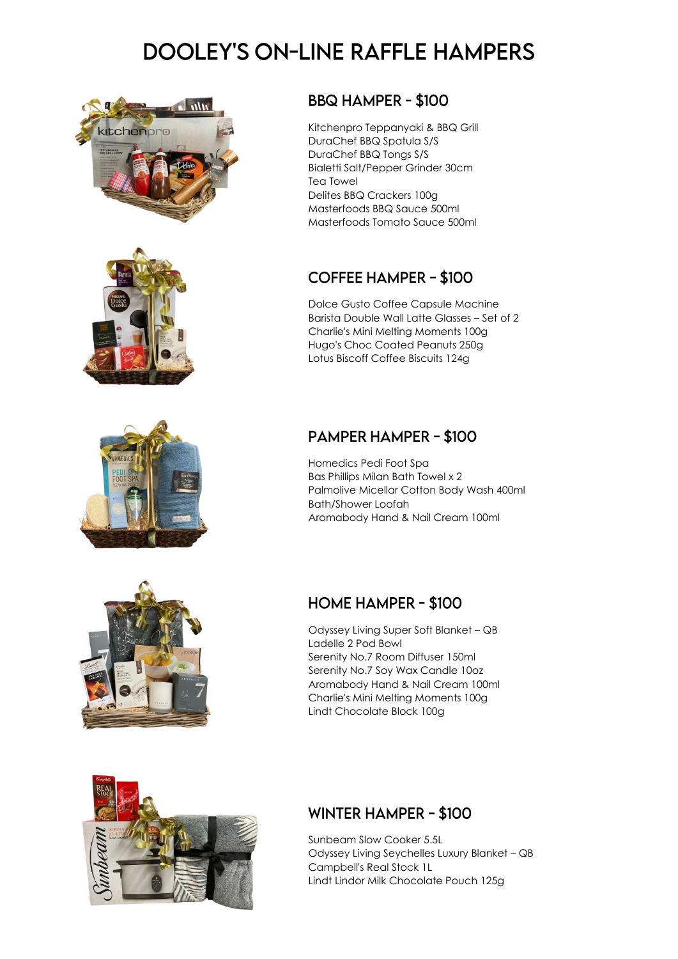# **DOOLEY'S ON-LINE RAFFLE HAMPERS**







#### **BBQ HAMPER - \$100**

Kitchenpro Teppanyaki & BBQ Grill DuraChef BBQ Spatula S/S DuraChef BBQ Tongs S/S Bialetti Salt/Pepper Grinder 30cm Tea Towel Delites BBQ Crackers 100g Masterfoods BBQ Sauce 500ml Masterfoods Tomato Sauce 500ml

## **COFFEE HAMPER - \$100**

Dolce Gusto Coffee Capsule Machine Barista Double Wall Latte Glasses – Set of 2 Charlie's Mini Melting Moments 100g Hugo's Choc Coated Peanuts 250g Lotus Biscoff Coffee Biscuits 124g

## **PAMPER HAMPER - \$100**

Homedics Pedi Foot Spa Bas Phillips Milan Bath Towel x 2 Palmolive Micellar Cotton Body Wash 400ml Bath/Shower Loofah Aromabody Hand & Nail Cream 100ml



## **HOME HAMPER - \$100**

Odyssey Living Super Soft Blanket – QB Ladelle 2 Pod Bowl Serenity No.7 Room Diffuser 150ml Serenity No.7 Soy Wax Candle 10oz Aromabody Hand & Nail Cream 100ml Charlie's Mini Melting Moments 100g Lindt Chocolate Block 100g



## **WINTER HAMPER - \$100**

Sunbeam Slow Cooker 5.5L Odyssey Living Seychelles Luxury Blanket – QB Campbell's Real Stock 1L Lindt Lindor Milk Chocolate Pouch 125g